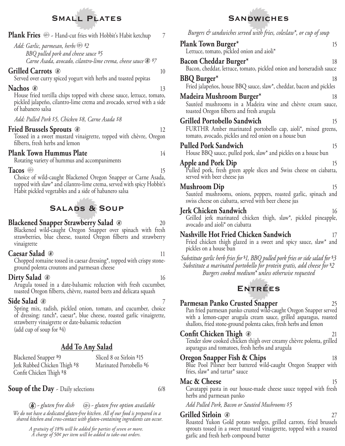# **Small Plates**

**Plank Fries** <sup>®</sup> - Hand-cut fries with Hobbit's Habit ketchup 7

*Add: Garlic, parmesan, herbs \$2 BBQ pulled pork and cheese sauce \$5 Carne Asada, avocado, cilantro-lime crema, cheese sauce \$7*

### **Grilled Carrots**  $\bullet$  10

Served over curry spiced yogurt with herbs and toasted pepitas

#### **Nachos**  $\circledast$  13

House fried tortilla chips topped with cheese sauce, lettuce, tomato, pickled jalapeño, cilantro-lime crema and avocado, served with a side of habanero salsa

*Add: Pulled Pork \$ 5, Chicken \$ 8, Carne Asada \$ 8*

### **Fried Brussels Sprouts** 12

Tossed in a sweet mustard vinaigrette, topped with chèvre, Oregon filberts, fresh herbs and lemon

### **Plank Town Hummus Plate** 14

Rotating variety of hummus and accompaniments

Tacos <sup>(F)</sup> 15

Choice of wild-caught Blackened Oregon Snapper or Carne Asada, topped with slaw\* and cilantro-lime crema, served with spicy Hobbit's Habit pickled vegetables and a side of habanero salsa

# **Salads & Soup**

### **Blackened Snapper Strawberry Salad**  $\circledast$  **20**

Blackened wild-caught Oregon Snapper over spinach with fresh strawberries, blue cheese, toasted Oregon filberts and strawberry vinaigrette

### **Caesar Salad**  $\circledast$  11

Chopped romaine tossed in caesar dressing\*, topped with crispy stoneground polenta croutons and parmesan cheese

### **Dirty Salad**  $\bullet$  16

Arugula tossed in a date-balsamic reduction with fresh cucumber, toasted Oregon filberts, chèvre, roasted beets and delicata squash

### **Side Salad**  $\bullet$  7

Spring mix, radish, pickled onion, tomato, and cucumber, choice of dressing: ranch\*, caesar\*, blue cheese, roasted garlic vinaigrette, strawberry vinaigrette or date-balsamic reduction

(add cup of soup for \$4)

### **Add To Any Salad**

 Blackened Snapper \$9 Jerk Rubbed Chicken Thigh \$8 Confit Chicken Thigh \$8 Sliced 8 oz Sirloin \$15 Marinated Portobello \$6

**Soup of the Day** - Daily selections 6/8

 *~ gluten free dish ~ gluten free option available We do not have a dedicated gluten-free kitchen. All of our food is prepared in a shared kitchen and cross-contact with gluten-containing ingredients can occur.*

> *A gratuity of 18% will be added for parties of seven or more. A charge of 50¢ per item will be added to take-out orders.*

# **Sandwiches**

*Burgers & sandwiches served with fries, coleslaw\*, or cup of soup*

| burgers & sanawiches served with fries, colesiaw', or cup of soup                                                                                                                                                              |    |
|--------------------------------------------------------------------------------------------------------------------------------------------------------------------------------------------------------------------------------|----|
| <b>Plank Town Burger*</b><br>Lettuce, tomato, pickled onion and aioli*                                                                                                                                                         | 15 |
| Bacon Cheddar Burger*<br>Bacon, cheddar, lettuce, tomato, pickled onion and horseradish sauce                                                                                                                                  | 18 |
| <b>BBQ</b> Burger*<br>Fried jalapeños, house BBQ sauce, slaw*, cheddar, bacon and pickles                                                                                                                                      | 18 |
| Madeira Mushroom Burger*<br>Sautéed mushrooms in a Madeira wine and chèvre cream sauce,<br>toasted Oregon filberts and fresh arugula                                                                                           | 18 |
| <b>Grilled Portobello Sandwich</b><br>FURTHR Amber marinated portobello cap, aioli*, mixed greens,<br>tomato, avocado, pickles and red onion on a house bun                                                                    | 15 |
| <b>Pulled Pork Sandwich</b><br>House BBQ sauce, pulled pork, slaw* and pickles on a house bun                                                                                                                                  | 15 |
| <b>Apple and Pork Dip</b><br>Pulled pork, fresh green apple slices and Swiss cheese on ciabatta,<br>served with beer cheese jus                                                                                                | 15 |
| <b>Mushroom Dip</b><br>Sautéed mushrooms, onions, peppers, roasted garlic, spinach and<br>swiss cheese on ciabatta, served with beer cheese jus                                                                                | 15 |
| <b>Jerk Chicken Sandwich</b><br>Grilled jerk marinated chicken thigh, slaw*, pickled pineapple,<br>avocado and aioli <sup>*</sup> on ciabatta                                                                                  | 16 |
| Nashville Hot Fried Chicken Sandwich<br>Fried chicken thigh glazed in a sweet and spicy sauce, slaw* and<br>pickles on a house bun                                                                                             | 17 |
| Substitute garlic herb fries for \$1, BBQ pulled pork fries or side salad for \$3<br>Substitute a marinated portobello for protein gratis, add cheese for \$2<br>Burgers cooked medium <sup>*</sup> unless otherwise requested |    |
| <b>ENTRÉES</b>                                                                                                                                                                                                                 |    |
| Parmesan Panko Crusted Snapper                                                                                                                                                                                                 | 25 |

Pan fried parmesan panko crusted wild-caught Oregon Snapper served with a lemon-caper arugula cream sauce, grilled asparagus, roasted shallots, fried stone-ground polenta cakes, fresh herbs and lemon

### **Confit Chicken Thigh**  $\circledast$  21

Tender slow cooked chicken thigh over creamy chèvre polenta, grilled asparagus and tomatoes, fresh herbs and arugula

### **Oregon Snapper Fish & Chips** 18

Blue Pool Pilsner beer battered wild-caught Oregon Snapper with fries, slaw\* and tartar\* sauce

### **Mac & Cheese** 15

Cavatappi pasta in our house-made cheese sauce topped with fresh herbs and parmesan panko

*Add Pulled Pork, Bacon or Sautéed Mushrooms \$ 5*

### **Grilled Sirloin** 27

Roasted Yukon Gold potato wedges, grilled carrots, fried brussels sprouts tossed in a sweet mustard vinaigrette, topped with a roasted garlic and fresh herb compound butter